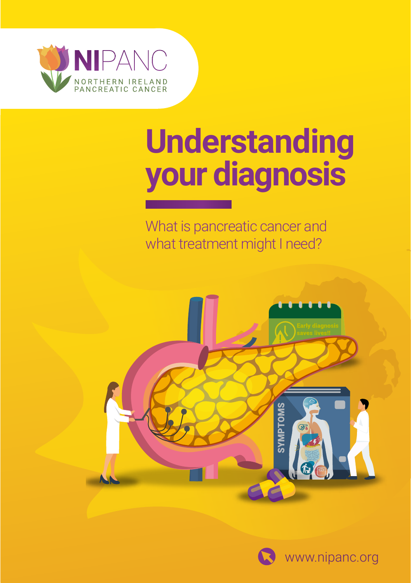

# **Understanding your diagnosis**

What is pancreatic cancer and what treatment might I need?



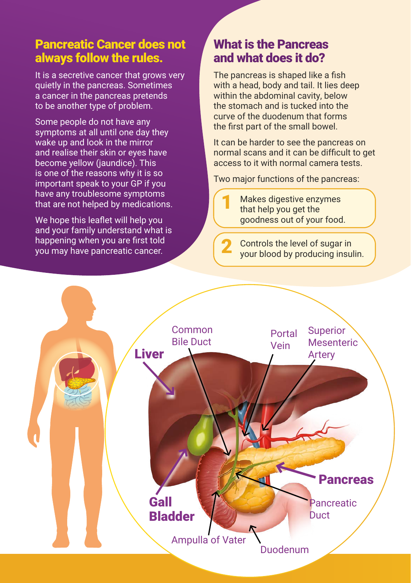## Pancreatic Cancer does not always follow the rules.

It is a secretive cancer that grows very quietly in the pancreas. Sometimes a cancer in the pancreas pretends to be another type of problem.

Some people do not have any symptoms at all until one day they wake up and look in the mirror and realise their skin or eyes have become yellow (jaundice). This is one of the reasons why it is so important speak to your GP if you have any troublesome symptoms that are not helped by medications.

We hope this leaflet will help you and your family understand what is happening when you are first told you may have pancreatic cancer.

# What is the Pancreas and what does it do?

The pancreas is shaped like a fish with a head, body and tail. It lies deep within the abdominal cavity, below the stomach and is tucked into the curve of the duodenum that forms the first part of the small bowel.

It can be harder to see the pancreas on normal scans and it can be difficult to get access to it with normal camera tests.

Two major functions of the pancreas:

Makes digestive enzymes that help you get the goodness out of your food. 1

Controls the level of sugar in your blood by producing insulin.



2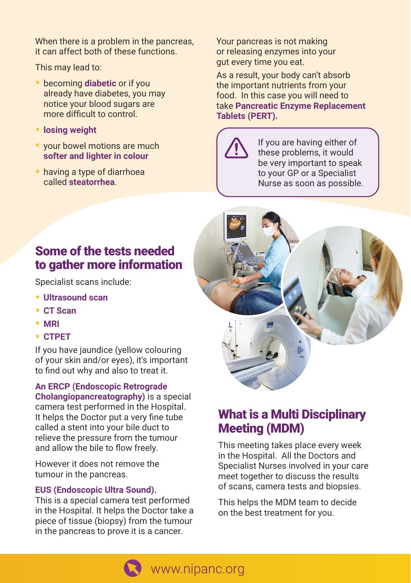When there is a problem in the pancreas, it can affect both of these functions.

This may lead to:

- becoming **diabetic** or if you already have diabetes, you may notice your blood sugars are more difficult to control.
- **losing weight**
- your bowel motions are much **softer and lighter in colour**
- having a type of diarrhoea called **steatorrhea**.

Your pancreas is not making or releasing enzymes into your gut every time you eat.

As a result, your body can't absorb the important nutrients from your food. In this case you will need to take **Pancreatic Enzyme Replacement Tablets (PERT).** 



If you are having either of these problems, it would be very important to speak to your GP or a Specialist Nurse as soon as possible.

# Some of the tests needed to gather more information

Specialist scans include:

- **Ultrasound scan**
- **CT Scan**
- **MRI**
- **CTPET**

If you have jaundice (yellow colouring of your skin and/or eyes), it's important to find out why and also to treat it.

**An ERCP (Endoscopic Retrograde Cholangiopancreatography)** is a special camera test performed in the Hospital. It helps the Doctor put a very fine tube called a stent into your bile duct to relieve the pressure from the tumour and allow the bile to flow freely.

However it does not remove the tumour in the pancreas.

#### **EUS (Endoscopic Ultra Sound).**

This is a special camera test performed in the Hospital. It helps the Doctor take a piece of tissue (biopsy) from the tumour in the pancreas to prove it is a cancer.



# What is a Multi Disciplinary Meeting (MDM)

This meeting takes place every week in the Hospital. All the Doctors and Specialist Nurses involved in your care meet together to discuss the results of scans, camera tests and biopsies.

This helps the MDM team to decide on the best treatment for you.

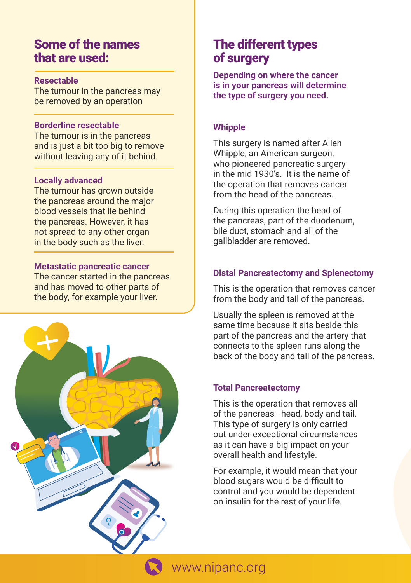## Some of the names that are used:

#### **Resectable**

The tumour in the pancreas may be removed by an operation

#### **Borderline resectable**

The tumour is in the pancreas and is just a bit too big to remove without leaving any of it behind.

#### **Locally advanced**

The tumour has grown outside the pancreas around the major blood vessels that lie behind the pancreas. However, it has not spread to any other organ in the body such as the liver.

#### **Metastatic pancreatic cancer**

The cancer started in the pancreas and has moved to other parts of the body, for example your liver.



# The different types of surgery

**Depending on where the cancer is in your pancreas will determine the type of surgery you need.**

## **Whipple**

This surgery is named after Allen Whipple, an American surgeon, who pioneered pancreatic surgery in the mid 1930's. It is the name of the operation that removes cancer from the head of the pancreas.

During this operation the head of the pancreas, part of the duodenum, bile duct, stomach and all of the gallbladder are removed.

## **Distal Pancreatectomy and Splenectomy**

This is the operation that removes cancer from the body and tail of the pancreas.

Usually the spleen is removed at the same time because it sits beside this part of the pancreas and the artery that connects to the spleen runs along the back of the body and tail of the pancreas.

#### **Total Pancreatectomy**

This is the operation that removes all of the pancreas - head, body and tail. This type of surgery is only carried out under exceptional circumstances as it can have a big impact on your overall health and lifestyle.

For example, it would mean that your blood sugars would be difficult to control and you would be dependent on insulin for the rest of your life.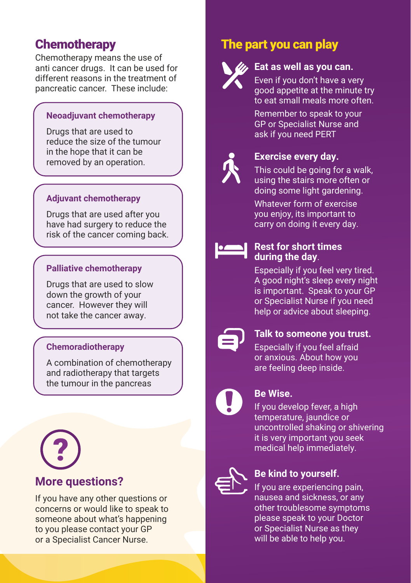# **Chemotherapy**

Chemotherapy means the use of anti cancer drugs. It can be used for different reasons in the treatment of pancreatic cancer. These include:

## **Neoadjuvant chemotherapy**

Drugs that are used to reduce the size of the tumour in the hope that it can be removed by an operation.

## **Adjuvant chemotherapy**

Drugs that are used after you have had surgery to reduce the risk of the cancer coming back.

## **Palliative chemotherapy**

Drugs that are used to slow down the growth of your cancer. However they will not take the cancer away.

## **Chemoradiotherapy**

A combination of chemotherapy and radiotherapy that targets the tumour in the pancreas



# **More questions?**

If you have any other questions or concerns or would like to speak to someone about what's happening to you please contact your GP or a Specialist Cancer Nurse.

# The part you can play



## **Eat as well as you can.**

Even if you don't have a very good appetite at the minute try to eat small meals more often.

Remember to speak to your GP or Specialist Nurse and ask if you need PERT



## **Exercise every day.**

This could be going for a walk, using the stairs more often or doing some light gardening.

Whatever form of exercise you enjoy, its important to carry on doing it every day.



#### **Rest for short times during the day**.

Especially if you feel very tired. A good night's sleep every night is important. Speak to your GP or Specialist Nurse if you need help or advice about sleeping.



## **Talk to someone you trust.**

Especially if you feel afraid or anxious. About how you are feeling deep inside.



## **Be Wise.**

If you develop fever, a high temperature, jaundice or uncontrolled shaking or shivering it is very important you seek medical help immediately.



## **Be kind to yourself.**

If you are experiencing pain, nausea and sickness, or any other troublesome symptoms please speak to your Doctor or Specialist Nurse as they will be able to help you.